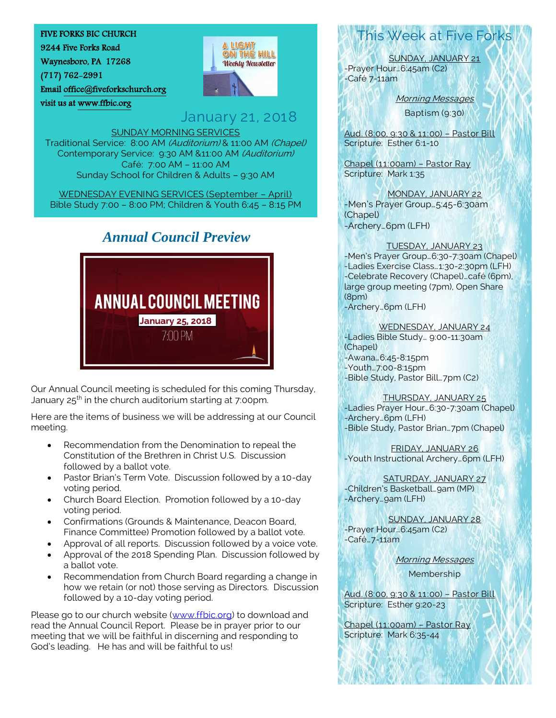#### FIVE FORKS BIC CHURCH

9244 Five Forks Road

Waynesboro, PA 17268

visit us a[t www.ffbic.org](http://www.ffbic.org/) 

(717) 762-2991

Email [office@fiveforkschurch.org](mailto:office@fiveforkschurch.org) 



A LIGHT ON THE HILL **Weekly Newsletter** 

#### SUNDAY MORNING SERVICES Traditional Service: 8:00 AM (Auditorium) & 11:00 AM (Chapel) Contemporary Service: 9:30 AM &11:00 AM (Auditorium) Café: 7:00 AM – 11:00 AM Sunday School for Children & Adults – 9:30 AM

WEDNESDAY EVENING SERVICES (September – April) Bible Study 7:00 – 8:00 PM; Children & Youth 6:45 – 8:15 PM

## *Annual Council Preview*



Our Annual Council meeting is scheduled for this coming Thursday, January 25th in the church auditorium starting at 7:00pm.

Here are the items of business we will be addressing at our Council meeting.

- Recommendation from the Denomination to repeal the Constitution of the Brethren in Christ U.S. Discussion followed by a ballot vote.
- Pastor Brian's Term Vote. Discussion followed by a 10-day voting period.
- Church Board Election. Promotion followed by a 10-day voting period.
- Confirmations (Grounds & Maintenance, Deacon Board, Finance Committee) Promotion followed by a ballot vote.
- Approval of all reports. Discussion followed by a voice vote.
- Approval of the 2018 Spending Plan. Discussion followed by a ballot vote.
- Recommendation from Church Board regarding a change in how we retain (or not) those serving as Directors. Discussion followed by a 10-day voting period.

Please go to our church website [\(www.ffbic.org\)](http://www.ffbic.org/) to download and read the Annual Council Report. Please be in prayer prior to our meeting that we will be faithful in discerning and responding to God's leading. He has and will be faithful to us!

# This Week at Five Forks

SUNDAY, JANUARY 21 -Prayer Hour…6:45am (C2) -Café 7-11am

Morning Messages

Baptism (9:30)

Aud. (8:00, 9:30 & 11:00) – Pastor Bill Scripture: Esther 6:1-10

Chapel (11:00am) – Pastor Ray Scripture: Mark 1:35

MONDAY, JANUARY 22 -Men's Prayer Group…5:45-6:30am (Chapel) -Archery…6pm (LFH)

TUESDAY, JANUARY 23 -Men's Prayer Group…6:30-7:30am (Chapel)

-Ladies Exercise Class…1:30-2:30pm (LFH) -Celebrate Recovery (Chapel)…café (6pm), large group meeting (7pm), Open Share (8pm)

-Archery…6pm (LFH)

WEDNESDAY, JANUARY 24 -Ladies Bible Study… 9:00-11:30am (Chapel) -Awana…6:45-8:15pm -Youth…7:00-8:15pm -Bible Study, Pastor Bill…7pm (C2)

#### THURSDAY, JANUARY 25

-Ladies Prayer Hour…6:30-7:30am (Chapel) -Archery…6pm (LFH) -Bible Study, Pastor Brian…7pm (Chapel)

FRIDAY, JANUARY 26 -Youth Instructional Archery…6pm (LFH)

SATURDAY, JANUARY 27 -Children's Basketball…9am (MP) -Archery…9am (LFH)

SUNDAY, JANUARY 28 -Prayer Hour…6:45am (C2) -Café…7-11am

Morning Messages

Membership

Aud. (8:00, 9:30 & 11:00) – Pastor Bill Scripture: Esther 9:20-23

Chapel (11:00am) – Pastor Ray Scripture: Mark 6:35-44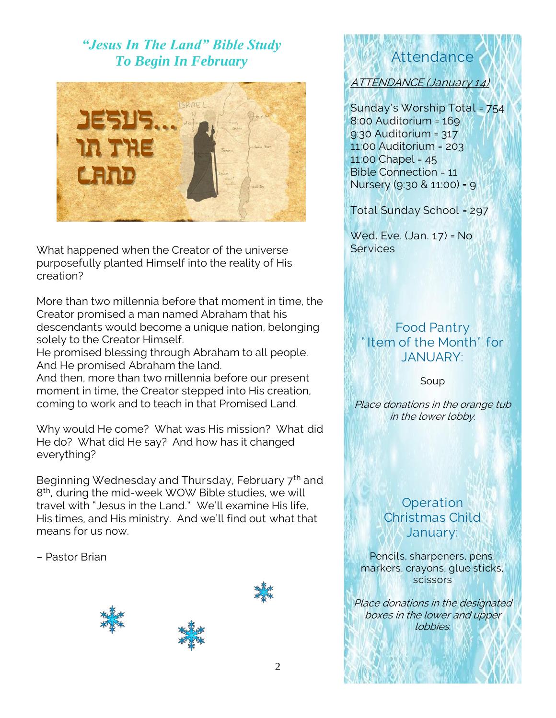# *"Jesus In The Land" Bible Study To Begin In February*



What happened when the Creator of the universe purposefully planted Himself into the reality of His creation?

More than two millennia before that moment in time, the Creator promised a man named Abraham that his descendants would become a unique nation, belonging solely to the Creator Himself.

He promised blessing through Abraham to all people. And He promised Abraham the land.

And then, more than two millennia before our present moment in time, the Creator stepped into His creation, coming to work and to teach in that Promised Land.

Why would He come? What was His mission? What did He do? What did He say? And how has it changed everything?

Beginning Wednesday and Thursday, February 7<sup>th</sup> and 8<sup>th</sup>, during the mid-week WOW Bible studies, we will travel with "Jesus in the Land." We'll examine His life, His times, and His ministry. And we'll find out what that means for us now.

– Pastor Brian





# Attendance

ATTENDANCE (January 14)

Sunday's Worship Total = 754 8:00 Auditorium = 169 9:30 Auditorium = 317 11:00 Auditorium = 203 11:00 Chapel = 45 Bible Connection = 11 Nursery (9:30 & 11:00) = 9

Total Sunday School = 297

Wed. Eve. (Jan. 17) = No **Services** 

## Food Pantry Item of the Month" for JANUARY:

Soup

Place donations in the orange tub in the lower lobby.

# **Operation** Christmas Child January:

Pencils, sharpeners, pens, markers, crayons, glue sticks, scissors

Place donations in the designated boxes in the lower and upper lobbies.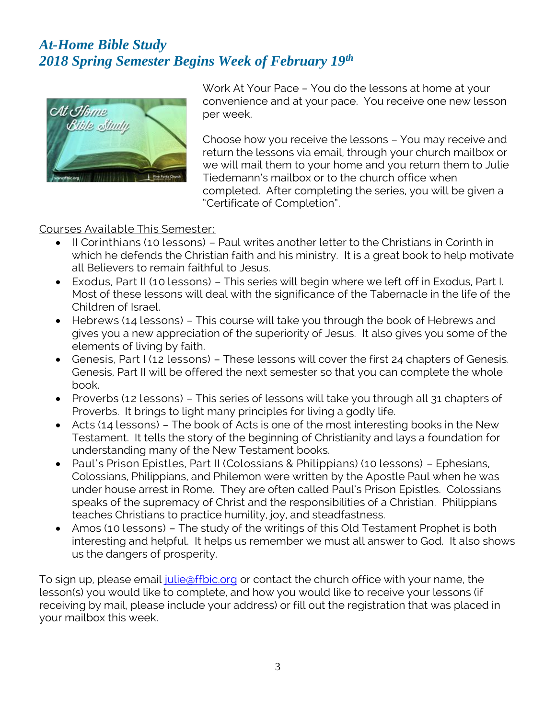# *At-Home Bible Study 2018 Spring Semester Begins Week of February 19th*



Work At Your Pace – You do the lessons at home at your convenience and at your pace. You receive one new lesson per week.

Choose how you receive the lessons – You may receive and return the lessons via email, through your church mailbox or we will mail them to your home and you return them to Julie Tiedemann's mailbox or to the church office when completed. After completing the series, you will be given a "Certificate of Completion".

Courses Available This Semester:

- II Corinthians (10 lessons) Paul writes another letter to the Christians in Corinth in which he defends the Christian faith and his ministry. It is a great book to help motivate all Believers to remain faithful to Jesus.
- Exodus, Part II (10 lessons) This series will begin where we left off in Exodus, Part I. Most of these lessons will deal with the significance of the Tabernacle in the life of the Children of Israel.
- Hebrews (14 lessons) This course will take you through the book of Hebrews and gives you a new appreciation of the superiority of Jesus. It also gives you some of the elements of living by faith.
- Genesis, Part I (12 lessons) These lessons will cover the first 24 chapters of Genesis. Genesis, Part II will be offered the next semester so that you can complete the whole book.
- Proverbs (12 lessons) This series of lessons will take you through all 31 chapters of Proverbs. It brings to light many principles for living a godly life.
- Acts (14 lessons) The book of Acts is one of the most interesting books in the New Testament. It tells the story of the beginning of Christianity and lays a foundation for understanding many of the New Testament books.
- Paul's Prison Epistles, Part II (Colossians & Philippians) (10 lessons) Ephesians, Colossians, Philippians, and Philemon were written by the Apostle Paul when he was under house arrest in Rome. They are often called Paul's Prison Epistles. Colossians speaks of the supremacy of Christ and the responsibilities of a Christian. Philippians teaches Christians to practice humility, joy, and steadfastness.
- Amos (10 lessons) The study of the writings of this Old Testament Prophet is both interesting and helpful. It helps us remember we must all answer to God. It also shows us the dangers of prosperity.

To sign up, please email [julie@ffbic.org](mailto:julie@ffbic.org) or contact the church office with your name, the lesson(s) you would like to complete, and how you would like to receive your lessons (if receiving by mail, please include your address) or fill out the registration that was placed in your mailbox this week.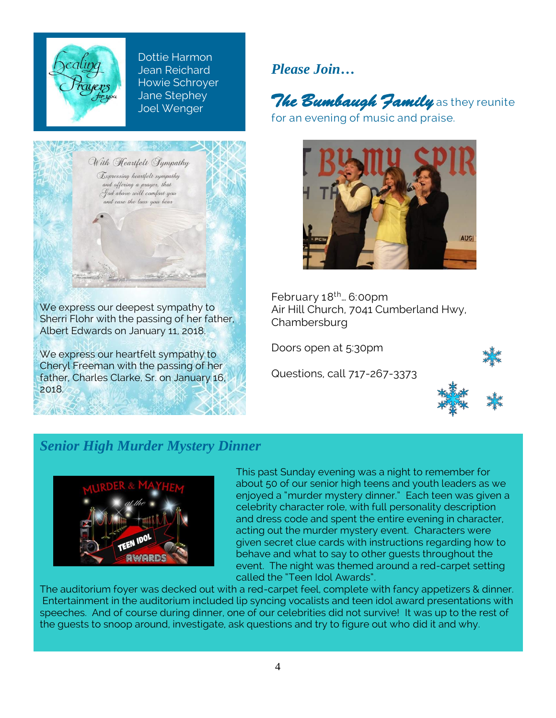

Dottie Harmon Jean Reichard Howie Schroyer Jane Stephey Joel Wenger



Sherri Flohr with the passing of her father, Albert Edwards on January 11, 2018.

We express our heartfelt sympathy to Cheryl Freeman with the passing of her father, Charles Clarke, Sr. on January 16, 2018.

*Please Join…*

The Bumbaugh Jamily as they reunite for an evening of music and praise.



February 18th… 6:00pm Air Hill Church, 7041 Cumberland Hwy, **Chambersburg** 

Doors open at 5:30pm

Questions, call 717-267-3373





## *Senior High Murder Mystery Dinner*



This past Sunday evening was a night to remember for about 50 of our senior high teens and youth leaders as we enjoyed a "murder mystery dinner." Each teen was given a celebrity character role, with full personality description and dress code and spent the entire evening in character, acting out the murder mystery event. Characters were given secret clue cards with instructions regarding how to behave and what to say to other guests throughout the event. The night was themed around a red-carpet setting called the "Teen Idol Awards".

The auditorium foyer was decked out with a red-carpet feel, complete with fancy appetizers & dinner. Entertainment in the auditorium included lip syncing vocalists and teen idol award presentations with speeches. And of course during dinner, one of our celebrities did not survive! It was up to the rest of the guests to snoop around, investigate, ask questions and try to figure out who did it and why.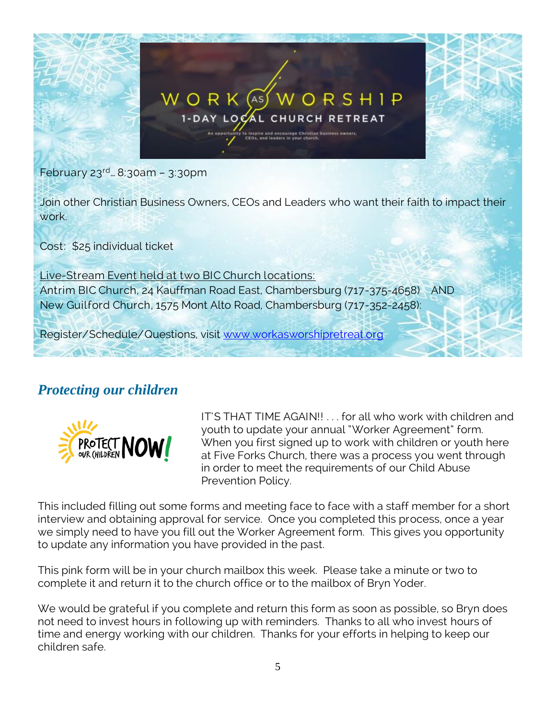

February 23rd… 8:30am – 3:30pm

Join other Christian Business Owners, CEOs and Leaders who want their faith to impact their work.

Cost: \$25 individual ticket

Live-Stream Event held at two BIC Church locations: Antrim BIC Church, 24 Kauffman Road East, Chambersburg (717-375-4658) AND New Guilford Church, 1575 Mont Alto Road, Chambersburg (717-352-2458):

Register/Schedule/Questions, visit [www.workasworshipretreat.org](http://www.workasworshipretreat.org/)

# *Protecting our children*



IT'S THAT TIME AGAIN!! . . . for all who work with children and youth to update your annual "Worker Agreement" form. When you first signed up to work with children or youth here at Five Forks Church, there was a process you went through in order to meet the requirements of our Child Abuse Prevention Policy.

This included filling out some forms and meeting face to face with a staff member for a short interview and obtaining approval for service. Once you completed this process, once a year we simply need to have you fill out the Worker Agreement form. This gives you opportunity to update any information you have provided in the past.

This pink form will be in your church mailbox this week. Please take a minute or two to complete it and return it to the church office or to the mailbox of Bryn Yoder.

We would be grateful if you complete and return this form as soon as possible, so Bryn does not need to invest hours in following up with reminders. Thanks to all who invest hours of time and energy working with our children. Thanks for your efforts in helping to keep our children safe.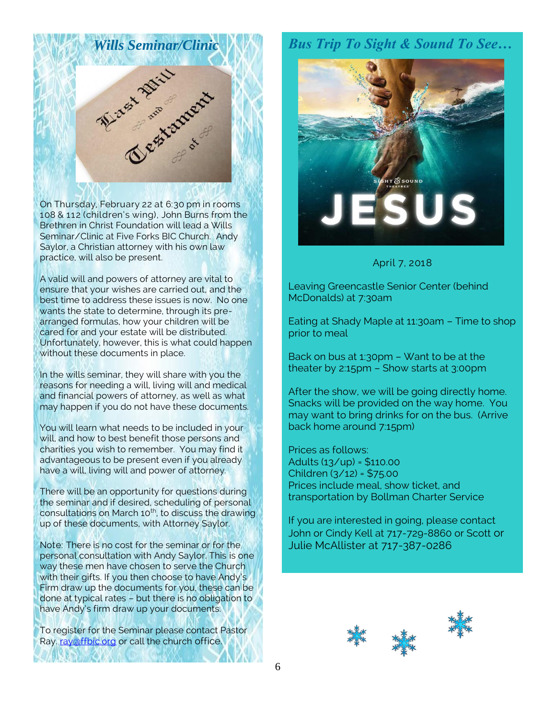

On Thursday, February 22 at 6:30 pm in rooms 108 & 112 (children's wing), John Burns from the Brethren in Christ Foundation will lead a Wills Seminar/Clinic at Five Forks BIC Church. Andy Saylor, a Christian attorney with his own law practice, will also be present.

A valid will and powers of attorney are vital to ensure that your wishes are carried out, and the best time to address these issues is now. No one wants the state to determine, through its prearranged formulas, how your children will be cared for and your estate will be distributed. Unfortunately, however, this is what could happen without these documents in place.

In the wills seminar, they will share with you the reasons for needing a will, living will and medical and financial powers of attorney, as well as what may happen if you do not have these documents.

You will learn what needs to be included in your will, and how to best benefit those persons and charities you wish to remember. You may find it advantageous to be present even if you already have a will, living will and power of attorney.

There will be an opportunity for questions during the seminar and if desired, scheduling of personal consultations on March 10<sup>th</sup>, to discuss the drawing up of these documents, with Attorney Saylor.

Note: There is no cost for the seminar or for the personal consultation with Andy Saylor. This is one way these men have chosen to serve the Church with their gifts. If you then choose to have Andy's Firm draw up the documents for you, these can be done at typical rates – but there is no obligation to have Andy's firm draw up your documents.

To register for the Seminar please contact Pastor Ray. ray affbic.org or call the church office.

## *Bus Trip To Sight & Sound To See…*



#### April 7, 2018

Leaving Greencastle Senior Center (behind McDonalds) at 7:30am

Eating at Shady Maple at 11:30am – Time to shop prior to meal

Back on bus at 1:30pm – Want to be at the theater by 2:15pm – Show starts at 3:00pm

After the show, we will be going directly home. Snacks will be provided on the way home. You may want to bring drinks for on the bus. (Arrive back home around 7:15pm)

Prices as follows: Adults (13/up) = \$110.00 Children (3/12) = \$75.00 Prices include meal, show ticket, and transportation by Bollman Charter Service

If you are interested in going, please contact John or Cindy Kell at 717-729-8860 or Scott or Julie McAllister at 717-387-0286

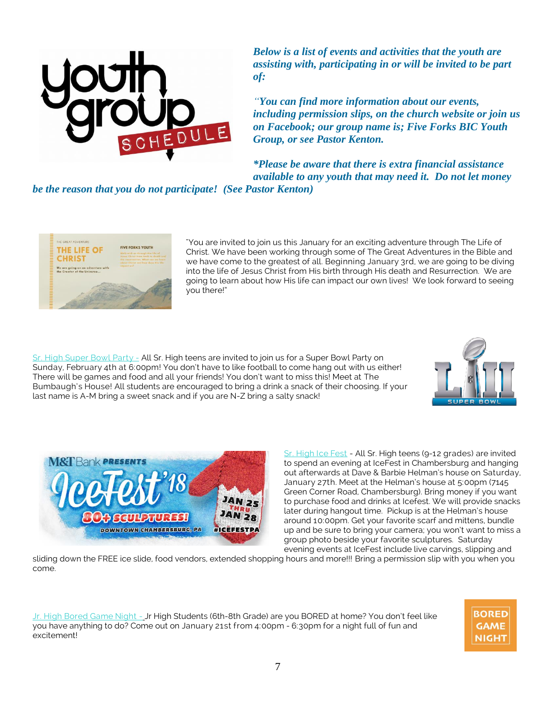

*Below is a list of events and activities that the youth are assisting with, participating in or will be invited to be part of:*

*"You can find more information about our events, including permission slips, on the church website or join us on Facebook; our group name is; Five Forks BIC Youth Group, or see Pastor Kenton.*

*\*Please be aware that there is extra financial assistance available to any youth that may need it. Do not let money* 

*be the reason that you do not participate! (See Pastor Kenton)*



"You are invited to join us this January for an exciting adventure through The Life of Christ. We have been working through some of The Great Adventures in the Bible and we have come to the greatest of all. Beginning January 3rd, we are going to be diving into the life of Jesus Christ from His birth through His death and Resurrection. We are going to learn about how His life can impact our own lives! We look forward to seeing you there!"

Sr. High Super Bowl Party - All Sr. High teens are invited to join us for a Super Bowl Party on Sunday, February 4th at 6:00pm! You don't have to like football to come hang out with us either! There will be games and food and all your friends! You don't want to miss this! Meet at The Bumbaugh's House! All students are encouraged to bring a drink a snack of their choosing. If your last name is A-M bring a sweet snack and if you are N-Z bring a salty snack!





Sr. High Ice Fest - All Sr. High teens (9-12 grades) are invited to spend an evening at IceFest in Chambersburg and hanging out afterwards at Dave & Barbie Helman's house on Saturday, January 27th. Meet at the Helman's house at 5:00pm (7145 Green Corner Road, Chambersburg). Bring money if you want to purchase food and drinks at Icefest. We will provide snacks later during hangout time. Pickup is at the Helman's house around 10:00pm. Get your favorite scarf and mittens, bundle up and be sure to bring your camera; you won't want to miss a group photo beside your favorite sculptures. Saturday evening events at IceFest include live carvings, slipping and

sliding down the FREE ice slide, food vendors, extended shopping hours and more!!! Bring a permission slip with you when you come.

Jr. High Bored Game Night - Jr High Students (6th-8th Grade) are you BORED at home? You don't feel like you have anything to do? Come out on January 21st from 4:00pm - 6:30pm for a night full of fun and excitement!